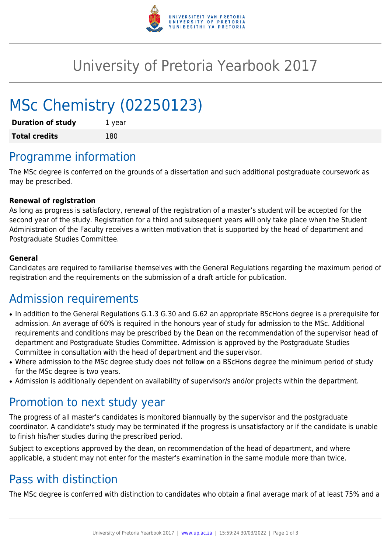

## University of Pretoria Yearbook 2017

# MSc Chemistry (02250123)

| <b>Duration of study</b> | 1 year |
|--------------------------|--------|
| <b>Total credits</b>     | 180    |

### Programme information

The MSc degree is conferred on the grounds of a dissertation and such additional postgraduate coursework as may be prescribed.

#### **Renewal of registration**

As long as progress is satisfactory, renewal of the registration of a master's student will be accepted for the second year of the study. Registration for a third and subsequent years will only take place when the Student Administration of the Faculty receives a written motivation that is supported by the head of department and Postgraduate Studies Committee.

#### **General**

Candidates are required to familiarise themselves with the General Regulations regarding the maximum period of registration and the requirements on the submission of a draft article for publication.

### Admission requirements

- In addition to the General Regulations G.1.3 G.30 and G.62 an appropriate BScHons degree is a prerequisite for admission. An average of 60% is required in the honours year of study for admission to the MSc. Additional requirements and conditions may be prescribed by the Dean on the recommendation of the supervisor head of department and Postgraduate Studies Committee. Admission is approved by the Postgraduate Studies Committee in consultation with the head of department and the supervisor.
- Where admission to the MSc degree study does not follow on a BScHons degree the minimum period of study for the MSc degree is two years.
- Admission is additionally dependent on availability of supervisor/s and/or projects within the department.

#### Promotion to next study year

The progress of all master's candidates is monitored biannually by the supervisor and the postgraduate coordinator. A candidate's study may be terminated if the progress is unsatisfactory or if the candidate is unable to finish his/her studies during the prescribed period.

Subject to exceptions approved by the dean, on recommendation of the head of department, and where applicable, a student may not enter for the master's examination in the same module more than twice.

### Pass with distinction

The MSc degree is conferred with distinction to candidates who obtain a final average mark of at least 75% and a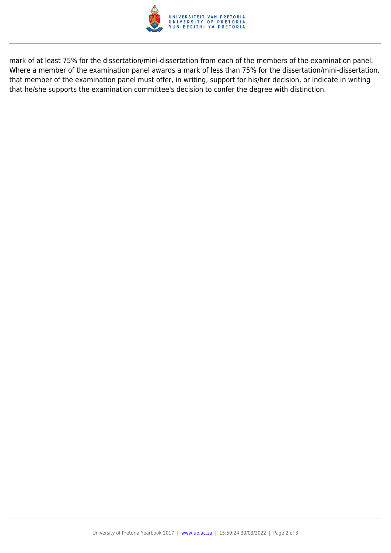

mark of at least 75% for the dissertation/mini-dissertation from each of the members of the examination panel. Where a member of the examination panel awards a mark of less than 75% for the dissertation/mini-dissertation, that member of the examination panel must offer, in writing, support for his/her decision, or indicate in writing that he/she supports the examination committee's decision to confer the degree with distinction.